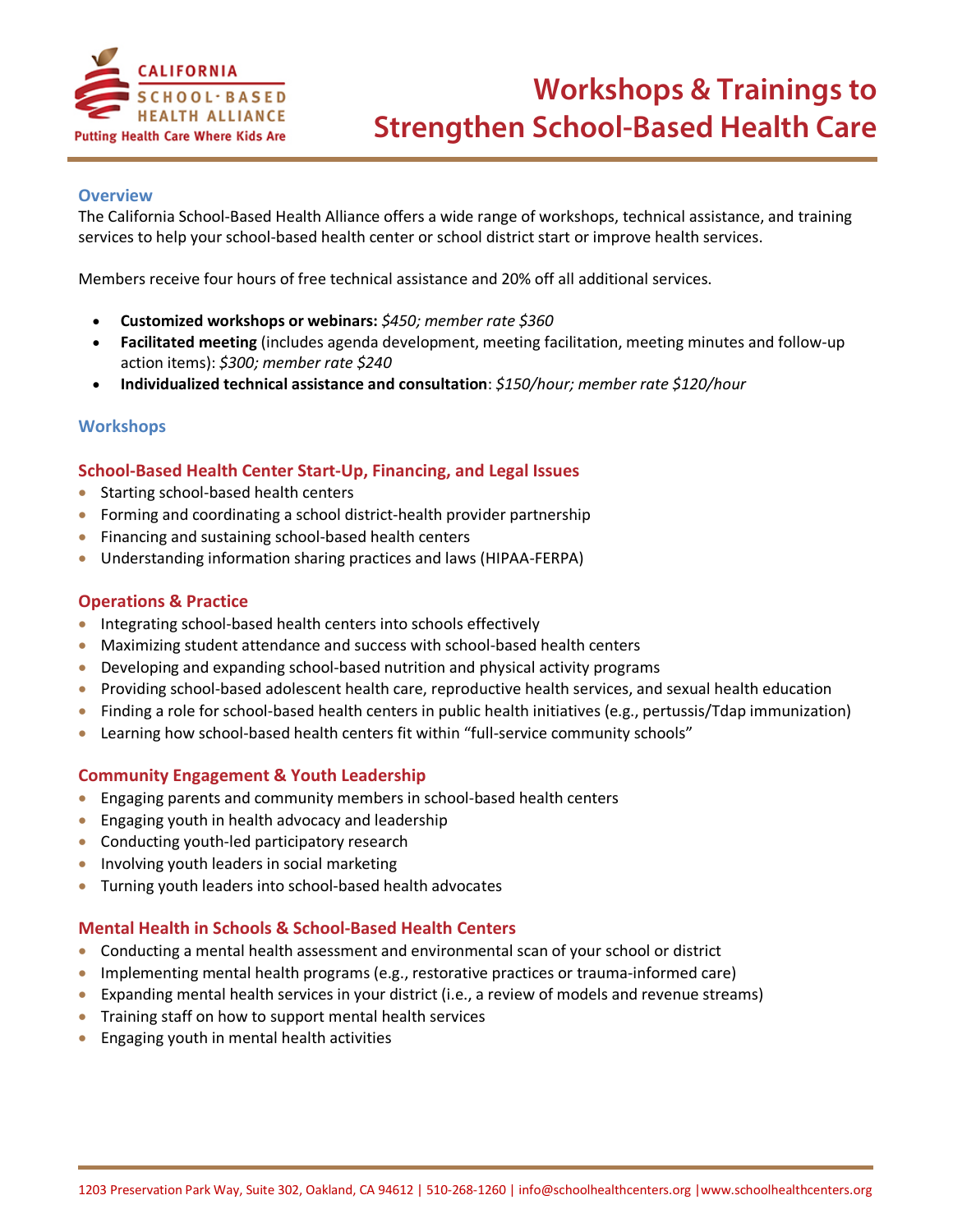

### **Overview**

The California School-Based Health Alliance offers a wide range of workshops, technical assistance, and training services to help your school-based health center or school district start or improve health services.

Members receive four hours of free technical assistance and 20% off all additional services.

- **Customized workshops or webinars:** *\$450; member rate \$360*
- **Facilitated meeting** (includes agenda development, meeting facilitation, meeting minutes and follow-up action items): *\$300; member rate \$240*
- **Individualized technical assistance and consultation**: *\$150/hour; member rate \$120/hour*

### **Workshops**

### **School-Based Health Center Start-Up, Financing, and Legal Issues**

- Starting school-based health centers
- Forming and coordinating a school district-health provider partnership
- Financing and sustaining school-based health centers
- Understanding information sharing practices and laws (HIPAA-FERPA)

#### **Operations & Practice**

- Integrating school-based health centers into schools effectively
- Maximizing student attendance and success with school-based health centers
- Developing and expanding school-based nutrition and physical activity programs
- Providing school-based adolescent health care, reproductive health services, and sexual health education
- Finding a role for school-based health centers in public health initiatives (e.g., pertussis/Tdap immunization)
- Learning how school-based health centers fit within "full-service community schools"

### **Community Engagement & Youth Leadership**

- Engaging parents and community members in school-based health centers
- Engaging youth in health advocacy and leadership
- Conducting youth-led participatory research
- Involving youth leaders in social marketing
- Turning youth leaders into school-based health advocates

### **Mental Health in Schools & School-Based Health Centers**

- Conducting a mental health assessment and environmental scan of your school or district
- Implementing mental health programs (e.g., restorative practices or trauma-informed care)
- Expanding mental health services in your district (i.e., a review of models and revenue streams)
- Training staff on how to support mental health services
- Engaging youth in mental health activities